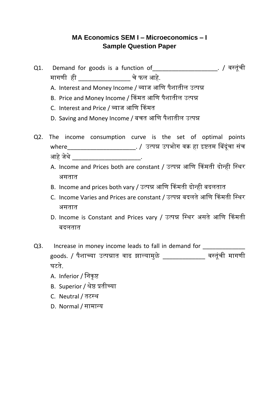## **MA Economics SEM I – Microeconomics – I Sample Question Paper**

- Q1. Demand for goods is a function of\_\_\_\_\_\_\_\_\_\_\_\_\_\_\_\_\_\_\_\_. / वसतूूंची मागणी ही \_\_\_\_\_\_\_\_\_\_\_\_\_\_\_\_ चे फल आहे.
	- A. Interest and Money Income / व्याज आणण पैशातील उत्पन्न
	- B. Price and Money Income / किंमत आणण पैशातील उत्पन्न
	- C. Interest and Price / व्याज आणण किंमत
	- D. Saving and Money Income / बचत आणण पैशातील उत्पन्न
- Q2. The income consumption curve is the set of optimal points where\_\_\_\_\_\_\_\_\_\_\_\_\_\_\_\_\_\_\_\_\_\_\_\_. / उत्पन्न उपभोग वक्र हा इष्टतम बिंदूंचा संच आहे जेथे \_\_\_\_\_\_\_\_\_\_\_\_\_\_\_\_\_\_\_\_\_\_.
	- A. Income and Prices both are constant / उत्पन्न आणि किंमती दोन्ही स्थिर असतात
	- B. Income and prices both vary / उत्पन्न आणि किंमती दोन्ही बदलतात
	- C. Income Varies and Prices are constant / उत्पन्न बदलते आणि किंमती स्थिर असतात
	- D. Income is Constant and Prices vary / उत्पन्न स्थिर असते आणि किंमती बदलतात
- Q3. Increase in money income leads to fall in demand for goods. / पैशाच्या उत्पन्नात वाढ झाल्यामुळे \_\_\_\_\_\_\_\_\_\_\_\_\_ वसतूूंची मागणी घटते.
	- A. Inferior / निकुष्ट
	- B. Superior / श्रेष्ठ प्रतीच्या
	- C. Neutral / तटसथ
	- D. Normal / सामान्य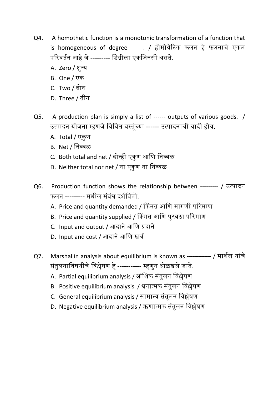- Q4. A homothetic function is a monotonic transformation of a function that is homogeneous of degree ------. / होमोथेटिक फलन हे फलनाचे एकल परिवर्तन आहे जे --------- डिग्रीला एकजिनसी असते.
	- A. Zero / शुन्य
	- B. One / एक
	- C. Two / दोन
	- D. Three / तीन
- Q5. A production plan is simply a list of ------ outputs of various goods. / उत्पादन योजना म्हणजे विविध वस्तंच्या ------ उत्पादनाची यादी होय.
	- A. Total / एकुण
	- B. Net / णनव्वळ
	- C. Both total and net / दोन्ही एकुण आणि निव्वळ
	- D. Neither total nor net / ना एकुण ना निव्वळ
- Q6. Production function shows the relationship between --------- / उत्पादन फलन --------- मधील संबंध दर्शवितो.
	- A. Price and quantity demanded / किंमत आणि मागणी परिमाण
	- B. Price and quantity supplied / किंमत आणि पुरवठा परिमाण
	- C. Input and output / आदाने आणण प्रदाने
	- D. Input and cost / आदाने आणि खर्च
- Q7. Marshallin analysis about equilibrium is known as ------------ / माशतल याूंचे सूंतुलनाणवषयीचे णवश्लेषण हे ----------- म्हणुन ओळखले जाते.
	- A. Partial equilibrium analysis / आंशिक संतुलन विश्लेषण
	- B. Positive equilibrium analysis / धनात्मक संतुलन विश्लेषण
	- C. General equilibrium analysis / सामान्य संतुलन विश्लेषण
	- D. Negative equilibrium analysis / ऋणात्मक संतुलन विश्लेषण